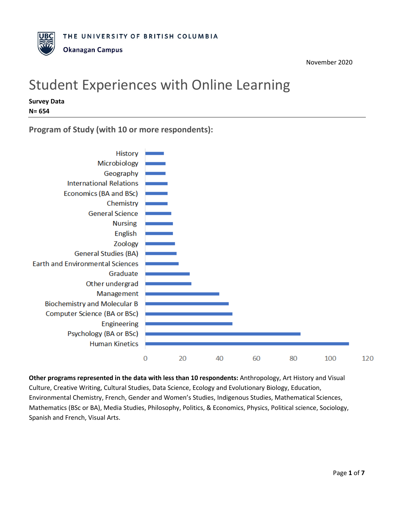# Student Experiences with Online Learning

**Survey Data N= 654**

**Program of Study (with 10 or more respondents):**



**Other programs represented in the data with less than 10 respondents:** Anthropology, Art History and Visual Culture, Creative Writing, Cultural Studies, Data Science, Ecology and Evolutionary Biology, Education, Environmental Chemistry, French, Gender and Women's Studies, Indigenous Studies, Mathematical Sciences, Mathematics (BSc or BA), Media Studies, Philosophy, Politics, & Economics, Physics, Political science, Sociology, Spanish and French, Visual Arts.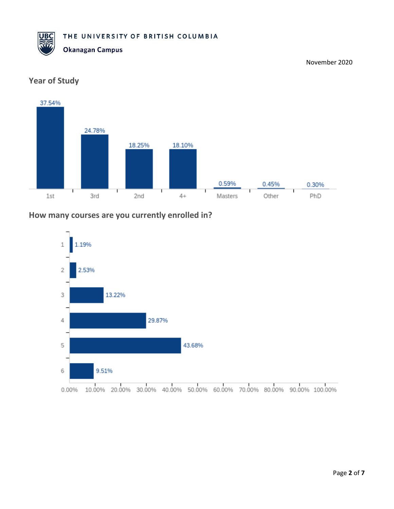



## **Year of Study**

#### **How many courses are you currently enrolled in?**

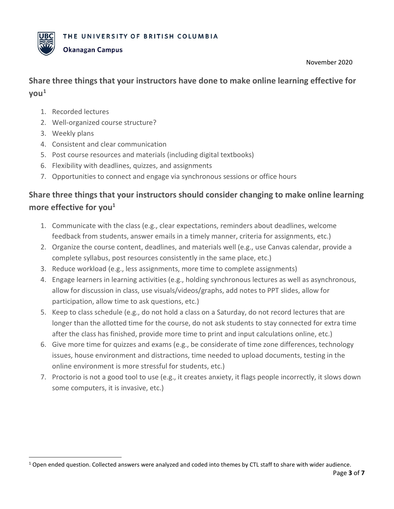

### **Okanagan Campus**

November 2020

# **Share three things that your instructors have done to make online learning effective for**   $\mathsf{you}^1$  $\mathsf{you}^1$

- 1. Recorded lectures
- 2. Well-organized course structure?
- 3. Weekly plans
- 4. Consistent and clear communication
- 5. Post course resources and materials (including digital textbooks)
- 6. Flexibility with deadlines, quizzes, and assignments
- 7. Opportunities to connect and engage via synchronous sessions or office hours

# **Share three things that your instructors should consider changing to make online learning**  more effective for you<sup>1</sup>

- 1. Communicate with the class (e.g., clear expectations, reminders about deadlines, welcome feedback from students, answer emails in a timely manner, criteria for assignments, etc.)
- 2. Organize the course content, deadlines, and materials well (e.g., use Canvas calendar, provide a complete syllabus, post resources consistently in the same place, etc.)
- 3. Reduce workload (e.g., less assignments, more time to complete assignments)
- 4. Engage learners in learning activities (e.g., holding synchronous lectures as well as asynchronous, allow for discussion in class, use visuals/videos/graphs, add notes to PPT slides, allow for participation, allow time to ask questions, etc.)
- 5. Keep to class schedule (e.g., do not hold a class on a Saturday, do not record lectures that are longer than the allotted time for the course, do not ask students to stay connected for extra time after the class has finished, provide more time to print and input calculations online, etc.)
- 6. Give more time for quizzes and exams (e.g., be considerate of time zone differences, technology issues, house environment and distractions, time needed to upload documents, testing in the online environment is more stressful for students, etc.)
- 7. Proctorio is not a good tool to use (e.g., it creates anxiety, it flags people incorrectly, it slows down some computers, it is invasive, etc.)

<span id="page-2-0"></span> $1$  Open ended question. Collected answers were analyzed and coded into themes by CTL staff to share with wider audience.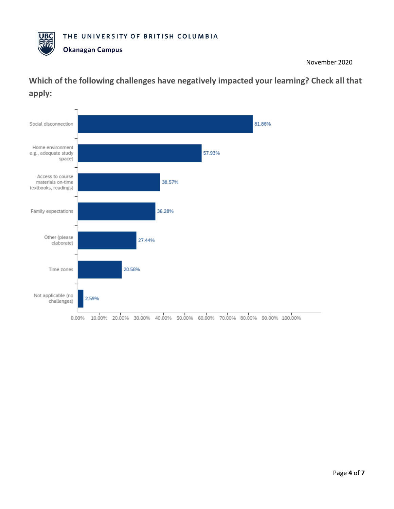

# **Which of the following challenges have negatively impacted your learning? Check all that apply:**

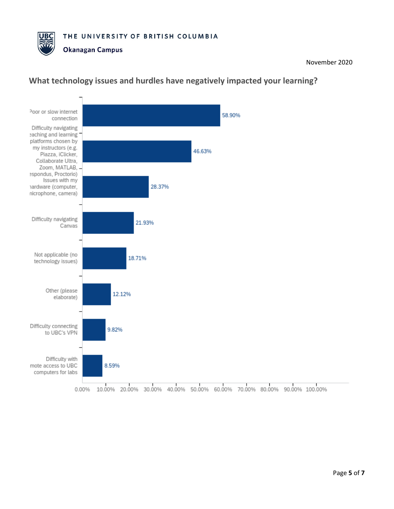



## **What technology issues and hurdles have negatively impacted your learning?**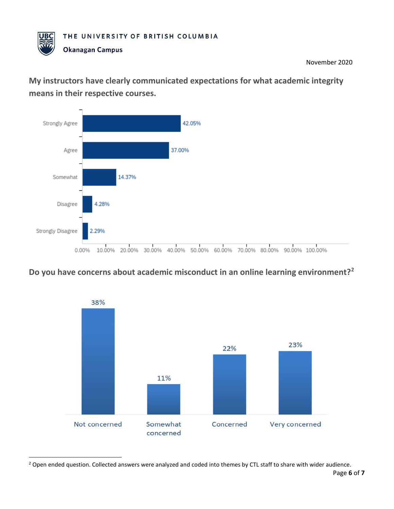

**My instructors have clearly communicated expectations for what academic integrity means in their respective courses.**



## **Do you have concerns about academic misconduct in an online learning environment?[2](#page-5-0)**



<span id="page-5-0"></span>Page **6** of **7** <sup>2</sup> Open ended question. Collected answers were analyzed and coded into themes by CTL staff to share with wider audience.